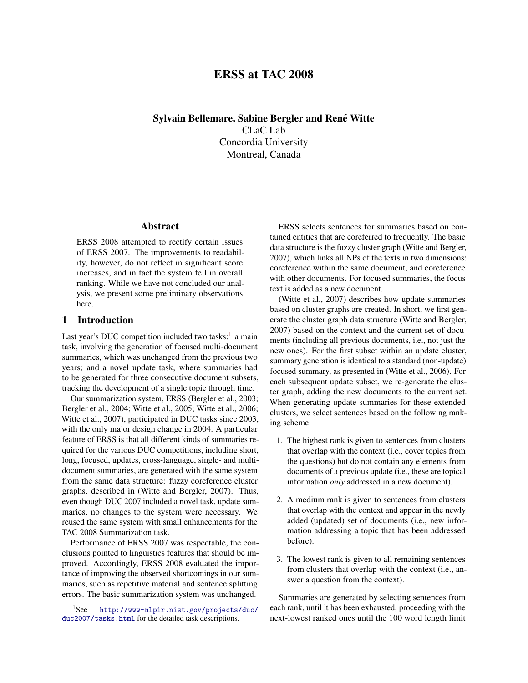# ERSS at TAC 2008

Sylvain Bellemare, Sabine Bergler and René Witte CLaC Lab Concordia University Montreal, Canada

# Abstract

ERSS 2008 attempted to rectify certain issues of ERSS 2007. The improvements to readability, however, do not reflect in significant score increases, and in fact the system fell in overall ranking. While we have not concluded our analysis, we present some preliminary observations here.

# 1 Introduction

Last year's DUC competition included two tasks:<sup>[1](#page-0-0)</sup> a main task, involving the generation of focused multi-document summaries, which was unchanged from the previous two years; and a novel update task, where summaries had to be generated for three consecutive document subsets, tracking the development of a single topic through time.

Our summarization system, ERSS (Bergler et al., 2003; Bergler et al., 2004; Witte et al., 2005; Witte et al., 2006; Witte et al., 2007), participated in DUC tasks since 2003, with the only major design change in 2004. A particular feature of ERSS is that all different kinds of summaries required for the various DUC competitions, including short, long, focused, updates, cross-language, single- and multidocument summaries, are generated with the same system from the same data structure: fuzzy coreference cluster graphs, described in (Witte and Bergler, 2007). Thus, even though DUC 2007 included a novel task, update summaries, no changes to the system were necessary. We reused the same system with small enhancements for the TAC 2008 Summarization task.

Performance of ERSS 2007 was respectable, the conclusions pointed to linguistics features that should be improved. Accordingly, ERSS 2008 evaluated the importance of improving the observed shortcomings in our summaries, such as repetitive material and sentence splitting errors. The basic summarization system was unchanged.

ERSS selects sentences for summaries based on contained entities that are coreferred to frequently. The basic data structure is the fuzzy cluster graph (Witte and Bergler, 2007), which links all NPs of the texts in two dimensions: coreference within the same document, and coreference with other documents. For focused summaries, the focus text is added as a new document.

(Witte et al., 2007) describes how update summaries based on cluster graphs are created. In short, we first generate the cluster graph data structure (Witte and Bergler, 2007) based on the context and the current set of documents (including all previous documents, i.e., not just the new ones). For the first subset within an update cluster, summary generation is identical to a standard (non-update) focused summary, as presented in (Witte et al., 2006). For each subsequent update subset, we re-generate the cluster graph, adding the new documents to the current set. When generating update summaries for these extended clusters, we select sentences based on the following ranking scheme:

- 1. The highest rank is given to sentences from clusters that overlap with the context (i.e., cover topics from the questions) but do not contain any elements from documents of a previous update (i.e., these are topical information *only* addressed in a new document).
- 2. A medium rank is given to sentences from clusters that overlap with the context and appear in the newly added (updated) set of documents (i.e., new information addressing a topic that has been addressed before).
- 3. The lowest rank is given to all remaining sentences from clusters that overlap with the context (i.e., answer a question from the context).

Summaries are generated by selecting sentences from each rank, until it has been exhausted, proceeding with the next-lowest ranked ones until the 100 word length limit

<span id="page-0-0"></span><sup>1</sup>See [http://www-nlpir.nist.gov/projects/duc/](http://www-nlpir.nist.gov/projects/duc/duc2007/tasks.html) [duc2007/tasks.html](http://www-nlpir.nist.gov/projects/duc/duc2007/tasks.html) for the detailed task descriptions.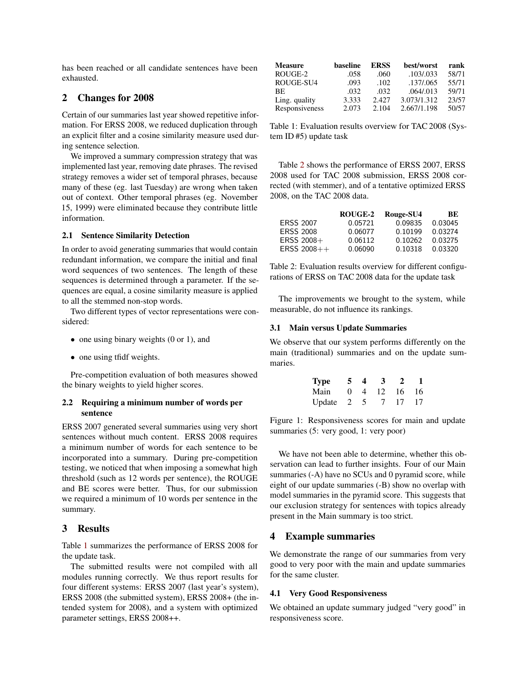has been reached or all candidate sentences have been exhausted.

# 2 Changes for 2008

Certain of our summaries last year showed repetitive information. For ERSS 2008, we reduced duplication through an explicit filter and a cosine similarity measure used during sentence selection.

We improved a summary compression strategy that was implemented last year, removing date phrases. The revised strategy removes a wider set of temporal phrases, because many of these (eg. last Tuesday) are wrong when taken out of context. Other temporal phrases (eg. November 15, 1999) were eliminated because they contribute little information.

### 2.1 Sentence Similarity Detection

In order to avoid generating summaries that would contain redundant information, we compare the initial and final word sequences of two sentences. The length of these sequences is determined through a parameter. If the sequences are equal, a cosine similarity measure is applied to all the stemmed non-stop words.

Two different types of vector representations were considered:

- one using binary weights (0 or 1), and
- one using tfidf weights.

Pre-competition evaluation of both measures showed the binary weights to yield higher scores.

## 2.2 Requiring a minimum number of words per sentence

ERSS 2007 generated several summaries using very short sentences without much content. ERSS 2008 requires a minimum number of words for each sentence to be incorporated into a summary. During pre-competition testing, we noticed that when imposing a somewhat high threshold (such as 12 words per sentence), the ROUGE and BE scores were better. Thus, for our submission we required a minimum of 10 words per sentence in the summary.

### 3 Results

Table [1](#page-1-0) summarizes the performance of ERSS 2008 for the update task.

The submitted results were not compiled with all modules running correctly. We thus report results for four different systems: ERSS 2007 (last year's system), ERSS 2008 (the submitted system), ERSS 2008+ (the intended system for 2008), and a system with optimized parameter settings, ERSS 2008++.

| <b>Measure</b> | baseline | <b>ERSS</b> | best/worst  | rank  |
|----------------|----------|-------------|-------------|-------|
| ROUGE-2        | .058     | .060        | .103/.033   | 58/71 |
| ROUGE-SU4      | .093     | .102.       | .137/.065   | 55/71 |
| <b>BE</b>      | .032     | .032        | .064/013    | 59/71 |
| Ling. quality  | 3.333    | 2.427       | 3.073/1.312 | 23/57 |
| Responsiveness | 2.073    | 2.104       | 2.667/1.198 | 50/57 |

<span id="page-1-0"></span>Table 1: Evaluation results overview for TAC 2008 (System ID #5) update task

Table [2](#page-1-1) shows the performance of ERSS 2007, ERSS 2008 used for TAC 2008 submission, ERSS 2008 corrected (with stemmer), and of a tentative optimized ERSS 2008, on the TAC 2008 data.

|                  | ROUGE-2 | Rouge-SU4 | BЕ      |
|------------------|---------|-----------|---------|
| <b>ERSS 2007</b> | 0.05721 | 0.09835   | 0.03045 |
| <b>ERSS 2008</b> | 0.06077 | 0.10199   | 0.03274 |
| $ERSS$ 2008+     | 0.06112 | 0.10262   | 0.03275 |
| $ERSS$ 2008++    | 0.06090 | 0.10318   | 0.03320 |

<span id="page-1-1"></span>Table 2: Evaluation results overview for different configurations of ERSS on TAC 2008 data for the update task

The improvements we brought to the system, while measurable, do not influence its rankings.

#### 3.1 Main versus Update Summaries

We observe that our system performs differently on the main (traditional) summaries and on the update summaries.

| Type   | -5.        | Δ              | -3  | 2   |    |
|--------|------------|----------------|-----|-----|----|
| Main   | $^{\circ}$ | $\overline{4}$ | 12. | -16 | 16 |
| Update | $\sim$ 2   | $\mathcal{L}$  |     | 17  | 17 |

Figure 1: Responsiveness scores for main and update summaries (5: very good, 1: very poor)

We have not been able to determine, whether this observation can lead to further insights. Four of our Main summaries (-A) have no SCUs and 0 pyramid score, while eight of our update summaries (-B) show no overlap with model summaries in the pyramid score. This suggests that our exclusion strategy for sentences with topics already present in the Main summary is too strict.

## 4 Example summaries

We demonstrate the range of our summaries from very good to very poor with the main and update summaries for the same cluster.

### 4.1 Very Good Responsiveness

We obtained an update summary judged "very good" in responsiveness score.